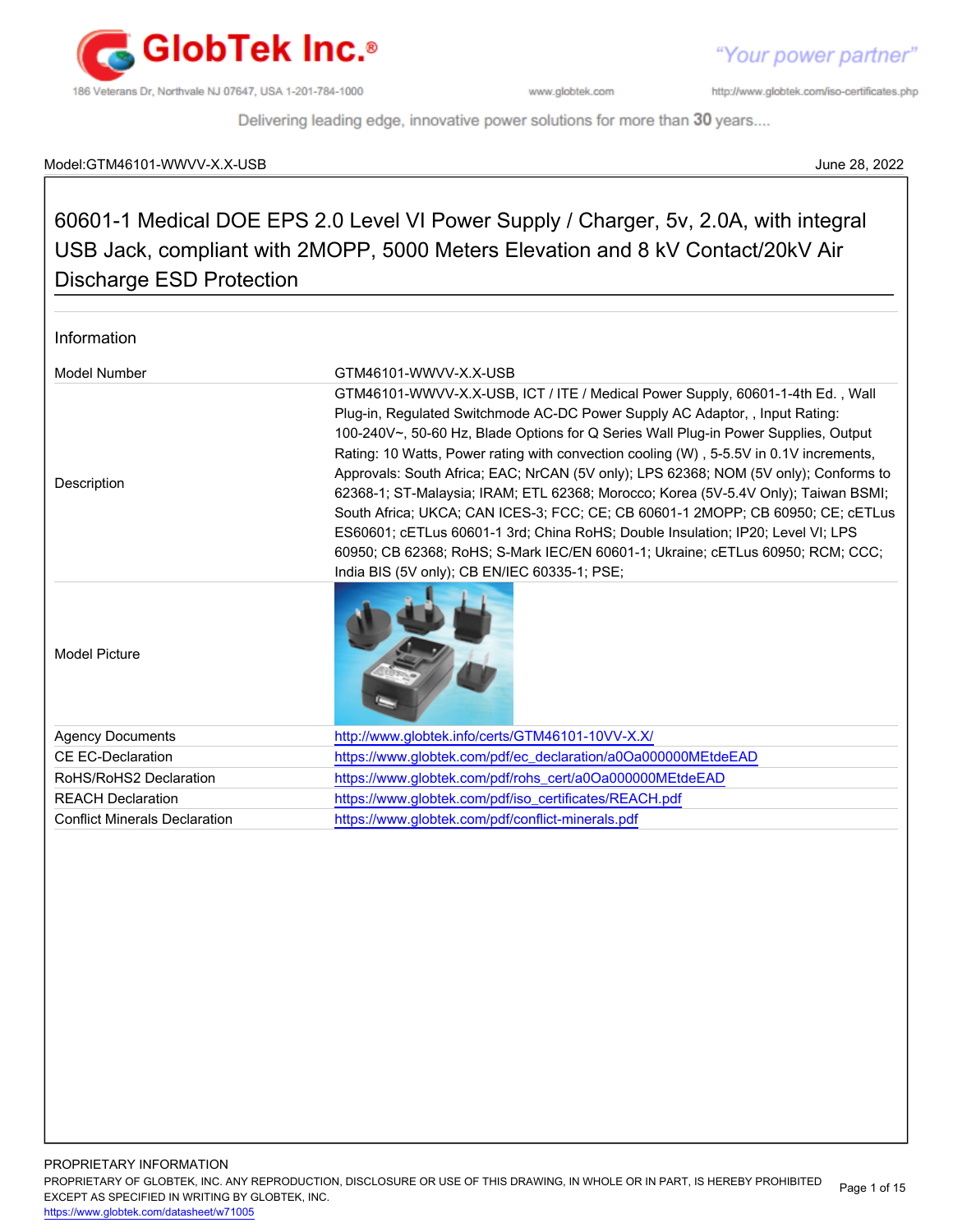

http://www.globtek.com/iso-certificates.php

Delivering leading edge, innovative power solutions for more than 30 years....

#### Model:GTM46101-WWVV-X.X-USB June 28, 2022

## 60601-1 Medical DOE EPS 2.0 Level VI Power Supply / Charger, 5v, 2.0A, with integral USB Jack, compliant with 2MOPP, 5000 Meters Elevation and 8 kV Contact/20kV Air Discharge ESD Protection

| Information                          |                                                                                                                                                                                                                                                                                                                                                                                                                                                                                                                                                                                                                                                                                                                                                                                                                                       |
|--------------------------------------|---------------------------------------------------------------------------------------------------------------------------------------------------------------------------------------------------------------------------------------------------------------------------------------------------------------------------------------------------------------------------------------------------------------------------------------------------------------------------------------------------------------------------------------------------------------------------------------------------------------------------------------------------------------------------------------------------------------------------------------------------------------------------------------------------------------------------------------|
| Model Number                         | GTM46101-WWVV-X X-USB                                                                                                                                                                                                                                                                                                                                                                                                                                                                                                                                                                                                                                                                                                                                                                                                                 |
| Description                          | GTM46101-WWVV-X.X-USB, ICT / ITE / Medical Power Supply, 60601-1-4th Ed., Wall<br>Plug-in, Regulated Switchmode AC-DC Power Supply AC Adaptor, , Input Rating:<br>100-240V~, 50-60 Hz, Blade Options for Q Series Wall Plug-in Power Supplies, Output<br>Rating: 10 Watts, Power rating with convection cooling (W), 5-5.5V in 0.1V increments,<br>Approvals: South Africa; EAC; NrCAN (5V only); LPS 62368; NOM (5V only); Conforms to<br>62368-1; ST-Malaysia; IRAM; ETL 62368; Morocco; Korea (5V-5.4V Only); Taiwan BSMI;<br>South Africa; UKCA; CAN ICES-3; FCC; CE; CB 60601-1 2MOPP; CB 60950; CE; cETLus<br>ES60601; cETLus 60601-1 3rd; China RoHS; Double Insulation; IP20; Level VI; LPS<br>60950; CB 62368; RoHS; S-Mark IEC/EN 60601-1; Ukraine; cETLus 60950; RCM; CCC;<br>India BIS (5V only); CB EN/IEC 60335-1; PSE; |
| <b>Model Picture</b>                 |                                                                                                                                                                                                                                                                                                                                                                                                                                                                                                                                                                                                                                                                                                                                                                                                                                       |
| <b>Agency Documents</b>              | http://www.globtek.info/certs/GTM46101-10VV-X.X/                                                                                                                                                                                                                                                                                                                                                                                                                                                                                                                                                                                                                                                                                                                                                                                      |
| CE EC-Declaration                    | https://www.globtek.com/pdf/ec_declaration/a0Oa000000MEtdeEAD                                                                                                                                                                                                                                                                                                                                                                                                                                                                                                                                                                                                                                                                                                                                                                         |
| RoHS/RoHS2 Declaration               | https://www.globtek.com/pdf/rohs_cert/a0Oa000000MEtdeEAD                                                                                                                                                                                                                                                                                                                                                                                                                                                                                                                                                                                                                                                                                                                                                                              |
| <b>REACH Declaration</b>             | https://www.globtek.com/pdf/iso_certificates/REACH.pdf                                                                                                                                                                                                                                                                                                                                                                                                                                                                                                                                                                                                                                                                                                                                                                                |
| <b>Conflict Minerals Declaration</b> | https://www.globtek.com/pdf/conflict-minerals.pdf                                                                                                                                                                                                                                                                                                                                                                                                                                                                                                                                                                                                                                                                                                                                                                                     |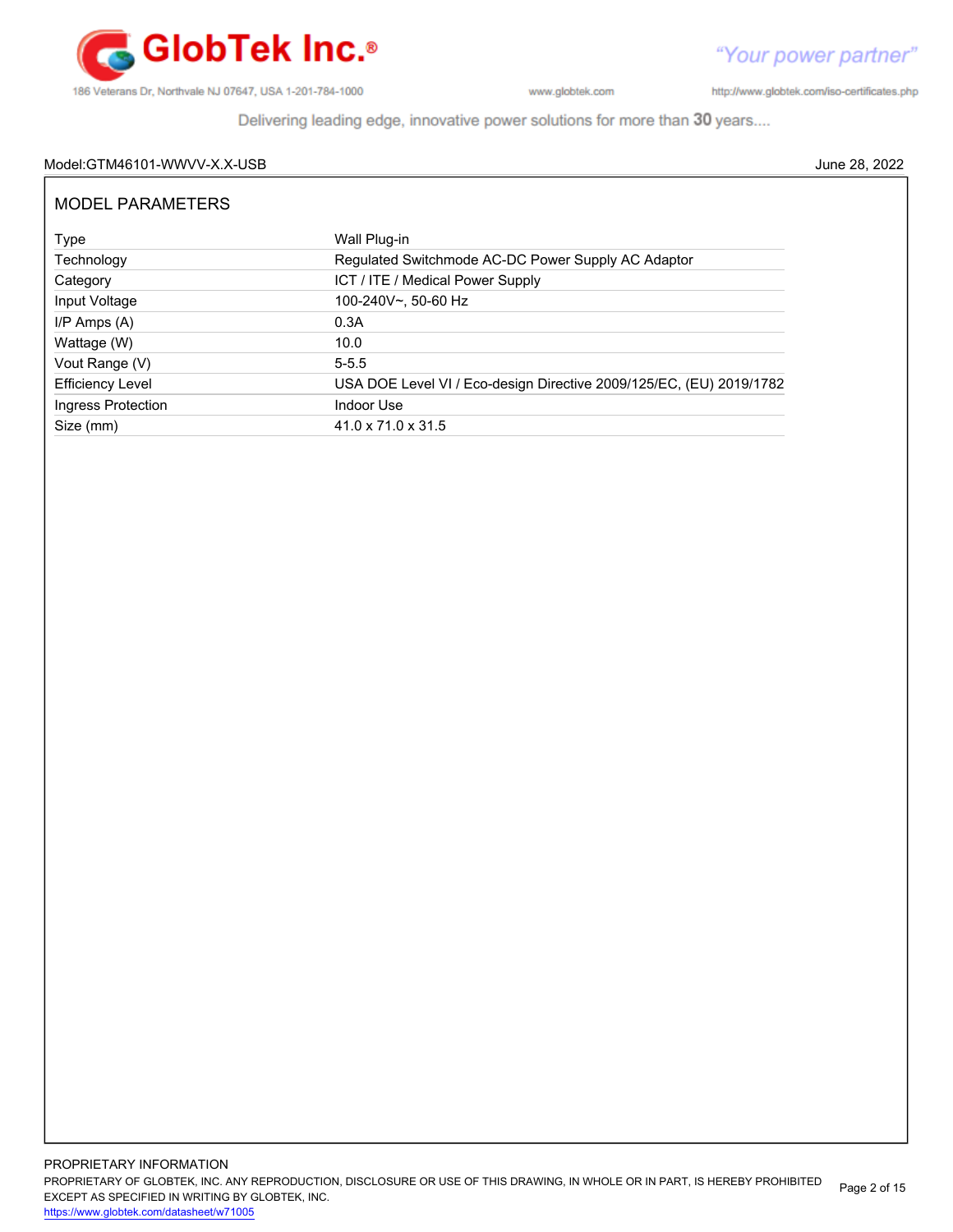

http://www.globtek.com/iso-certificates.php

Delivering leading edge, innovative power solutions for more than 30 years....

#### Model:GTM46101-WWVV-X.X-USB June 28, 2022

| <b>MODEL PARAMETERS</b> |                                                                     |  |
|-------------------------|---------------------------------------------------------------------|--|
| Type                    | Wall Plug-in                                                        |  |
| Technology              | Regulated Switchmode AC-DC Power Supply AC Adaptor                  |  |
| Category                | ICT / ITE / Medical Power Supply                                    |  |
| Input Voltage           | 100-240V~, 50-60 Hz                                                 |  |
| $I/P$ Amps $(A)$        | 0.3A                                                                |  |
| Wattage (W)             | 10.0                                                                |  |
| Vout Range (V)          | $5 - 5.5$                                                           |  |
| <b>Efficiency Level</b> | USA DOE Level VI / Eco-design Directive 2009/125/EC, (EU) 2019/1782 |  |
| Ingress Protection      | Indoor Use                                                          |  |
| Size (mm)               | $41.0 \times 71.0 \times 31.5$                                      |  |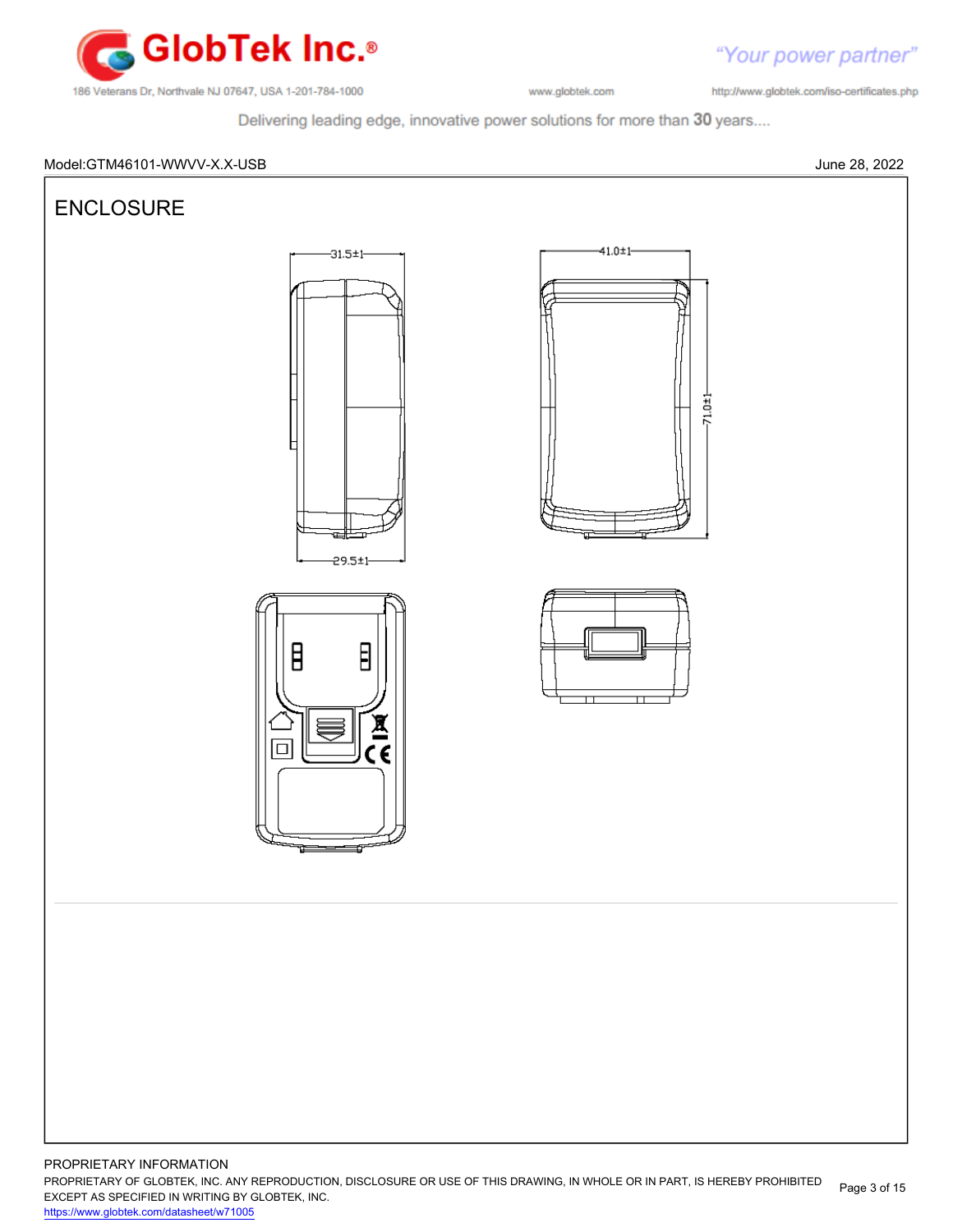

http://www.globtek.com/iso-certificates.php

Delivering leading edge, innovative power solutions for more than 30 years....



PROPRIETARY INFORMATION PROPRIETARY OF GLOBTEK, INC. ANY REPRODUCTION, DISCLOSURE OR USE OF THIS DRAWING, IN WHOLE OR IN PART, IS HEREBY PROHIBITED EXCEPT AS SPECIFIED IN WRITING BY GLOBTEK, INC. Page 3 of 15

<https://www.globtek.com/datasheet/w71005>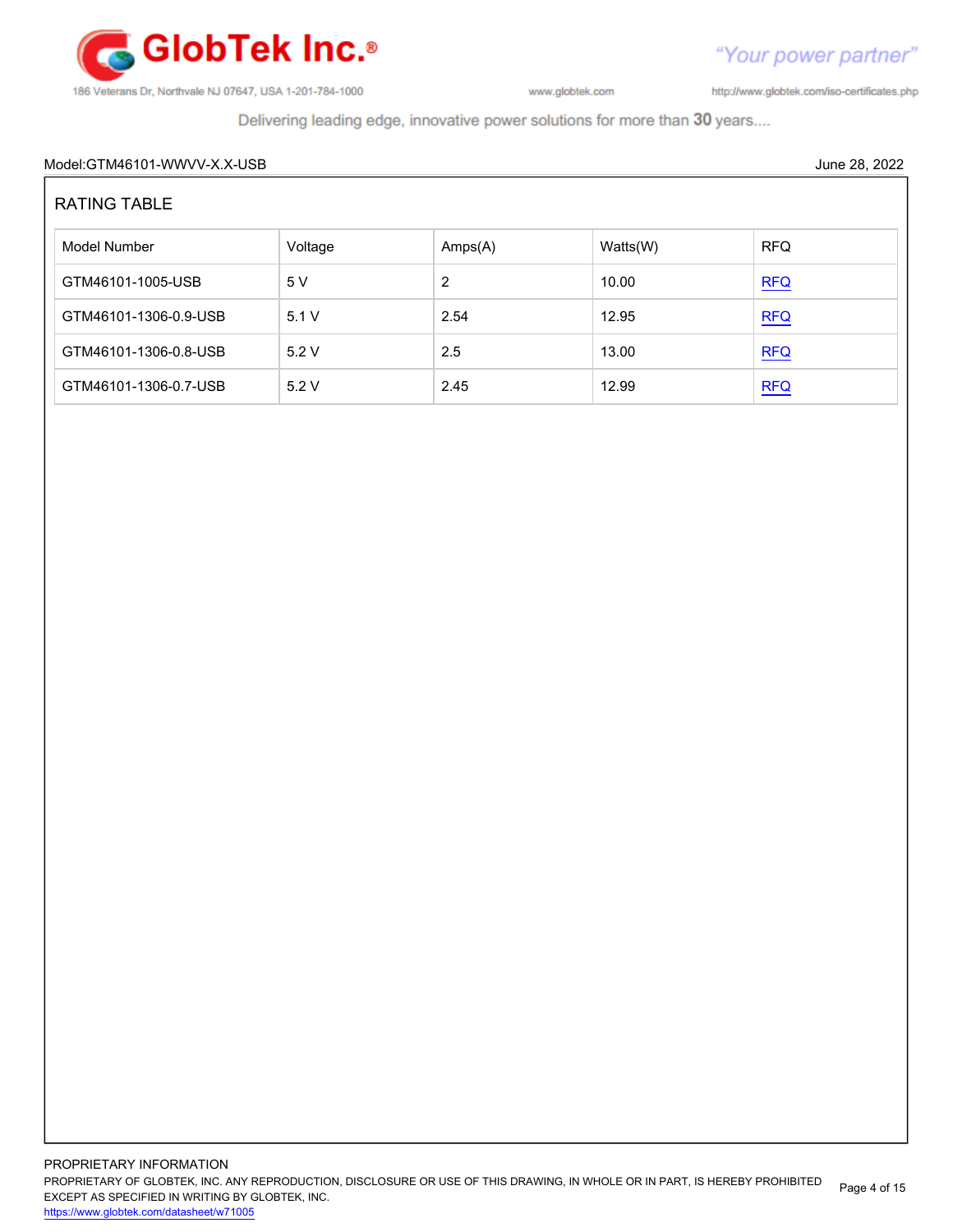

http://www.globtek.com/iso-certificates.php

"Your power partner"

Delivering leading edge, innovative power solutions for more than 30 years....

# Model:GTM46101-WWVV-X.X-USB June 28, 2022 RATING TABLE Model Number **Amps(A)** Watts(W) RFQ GTM46101-1005-USB  $5 \text{ V}$  2 10.00 [RFQ](https://en.globtek.com/model/id/a0Oa000000MEtdeEAD) GTM46101-1306-0.9-USB 5.1 V 2.54 12.95 [RFQ](https://en.globtek.com/model/id/a0Oa000000MEtdeEAD) GTM46101-1306-0.8-USB 5.2 V 2.5 13.00 [RFQ](https://en.globtek.com/model/id/a0Oa000000MEtdeEAD) GTM46101-1306-0.7-USB  $\begin{array}{|c|c|c|c|c|c|c|c|c|} \hline \text{GTM46101-1306-0.7-USB} & & 5.2 \text{ V} & & 2.45 & & 12.99 \hline \end{array}$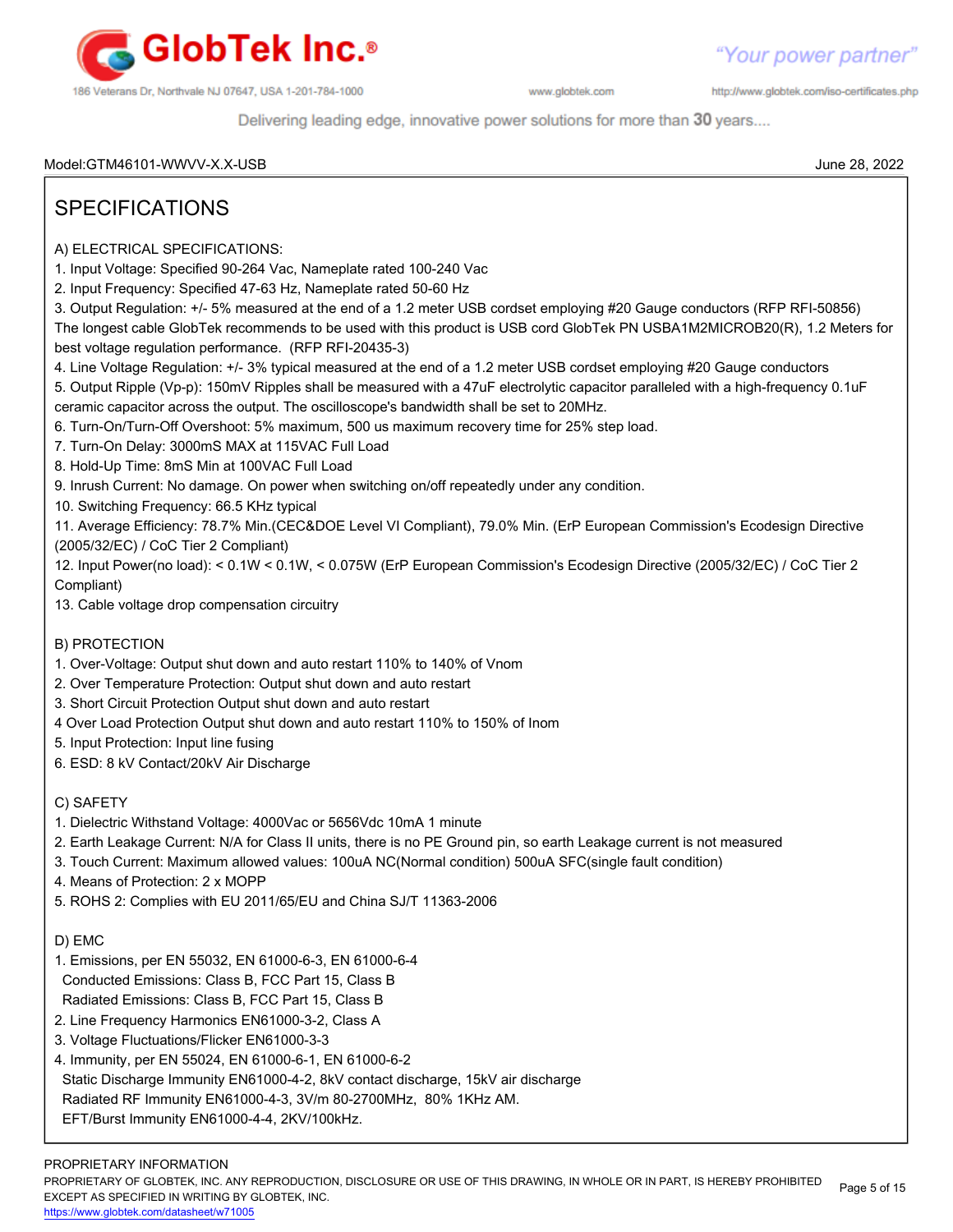

http://www.globtek.com/iso-certificates.php

Delivering leading edge, innovative power solutions for more than 30 years....

Model:GTM46101-WWVV-X.X-USB June 28, 2022

# SPECIFICATIONS

- A) ELECTRICAL SPECIFICATIONS:
- 1. Input Voltage: Specified 90-264 Vac, Nameplate rated 100-240 Vac
- 2. Input Frequency: Specified 47-63 Hz, Nameplate rated 50-60 Hz
- 3. Output Regulation: +/- 5% measured at the end of a 1.2 meter USB cordset employing #20 Gauge conductors (RFP RFI-50856)
- The longest cable GlobTek recommends to be used with this product is USB cord GlobTek PN USBA1M2MICROB20(R), 1.2 Meters for best voltage regulation performance. (RFP RFI-20435-3)
- 4. Line Voltage Regulation: +/- 3% typical measured at the end of a 1.2 meter USB cordset employing #20 Gauge conductors

5. Output Ripple (Vp-p): 150mV Ripples shall be measured with a 47uF electrolytic capacitor paralleled with a high-frequency 0.1uF ceramic capacitor across the output. The oscilloscope's bandwidth shall be set to 20MHz.

6. Turn-On/Turn-Off Overshoot: 5% maximum, 500 us maximum recovery time for 25% step load.

7. Turn-On Delay: 3000mS MAX at 115VAC Full Load

8. Hold-Up Time: 8mS Min at 100VAC Full Load

9. Inrush Current: No damage. On power when switching on/off repeatedly under any condition.

10. Switching Frequency: 66.5 KHz typical

11. Average Efficiency: 78.7% Min.(CEC&DOE Level VI Compliant), 79.0% Min. (ErP European Commission's Ecodesign Directive (2005/32/EC) / CoC Tier 2 Compliant)

12. Input Power(no load): < 0.1W < 0.1W, < 0.075W (ErP European Commission's Ecodesign Directive (2005/32/EC) / CoC Tier 2 Compliant)

13. Cable voltage drop compensation circuitry

#### B) PROTECTION

- 1. Over-Voltage: Output shut down and auto restart 110% to 140% of Vnom
- 2. Over Temperature Protection: Output shut down and auto restart
- 3. Short Circuit Protection Output shut down and auto restart
- 4 Over Load Protection Output shut down and auto restart 110% to 150% of Inom
- 5. Input Protection: Input line fusing
- 6. ESD: 8 kV Contact/20kV Air Discharge

#### C) SAFETY

- 1. Dielectric Withstand Voltage: 4000Vac or 5656Vdc 10mA 1 minute
- 2. Earth Leakage Current: N/A for Class II units, there is no PE Ground pin, so earth Leakage current is not measured
- 3. Touch Current: Maximum allowed values: 100uA NC(Normal condition) 500uA SFC(single fault condition)
- 4. Means of Protection: 2 x MOPP
- 5. ROHS 2: Complies with EU 2011/65/EU and China SJ/T 11363-2006

#### D) EMC

- 1. Emissions, per EN 55032, EN 61000-6-3, EN 61000-6-4
- Conducted Emissions: Class B, FCC Part 15, Class B
- Radiated Emissions: Class B, FCC Part 15, Class B
- 2. Line Frequency Harmonics EN61000-3-2, Class A
- 3. Voltage Fluctuations/Flicker EN61000-3-3
- 4. Immunity, per EN 55024, EN 61000-6-1, EN 61000-6-2 Static Discharge Immunity EN61000-4-2, 8kV contact discharge, 15kV air discharge Radiated RF Immunity EN61000-4-3, 3V/m 80-2700MHz, 80% 1KHz AM. EFT/Burst Immunity EN61000-4-4, 2KV/100kHz.

#### PROPRIETARY INFORMATION

PROPRIETARY OF GLOBTEK, INC. ANY REPRODUCTION, DISCLOSURE OR USE OF THIS DRAWING, IN WHOLE OR IN PART, IS HEREBY PROHIBITED EXCEPT AS SPECIFIED IN WRITING BY GLOBTEK, INC. Page 5 of 15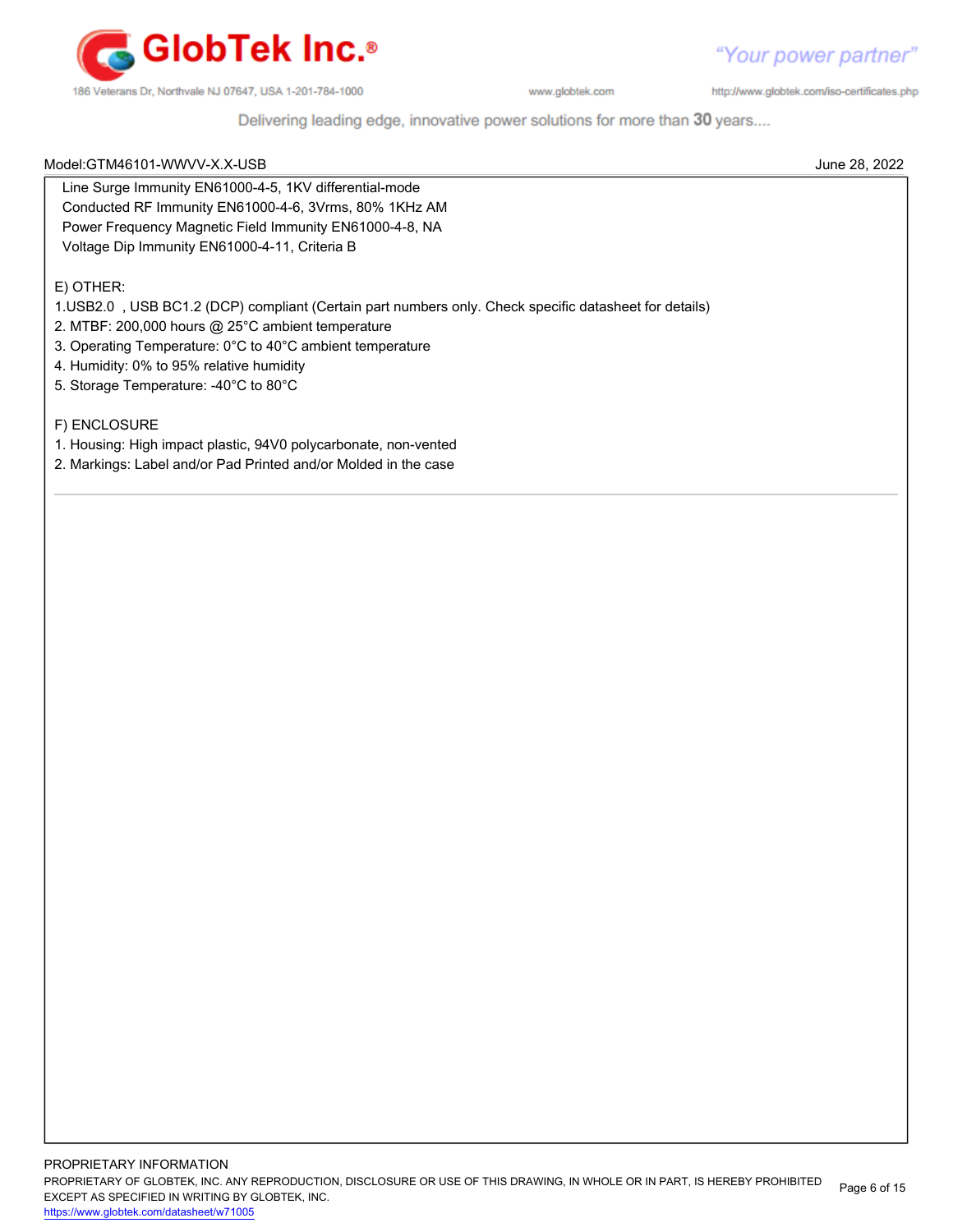

http://www.globtek.com/iso-certificates.php

Delivering leading edge, innovative power solutions for more than 30 years....

| Model:GTM46101-WWVV-X.X-USB | June 28, 2022 |
|-----------------------------|---------------|

 Line Surge Immunity EN61000-4-5, 1KV differential-mode Conducted RF Immunity EN61000-4-6, 3Vrms, 80% 1KHz AM Power Frequency Magnetic Field Immunity EN61000-4-8, NA Voltage Dip Immunity EN61000-4-11, Criteria B

#### E) OTHER:

1.USB2.0 , USB BC1.2 (DCP) compliant (Certain part numbers only. Check specific datasheet for details)

2. MTBF: 200,000 hours @ 25°C ambient temperature

- 3. Operating Temperature: 0°C to 40°C ambient temperature
- 4. Humidity: 0% to 95% relative humidity
- 5. Storage Temperature: -40°C to 80°C

#### F) ENCLOSURE

- 1. Housing: High impact plastic, 94V0 polycarbonate, non-vented
- 2. Markings: Label and/or Pad Printed and/or Molded in the case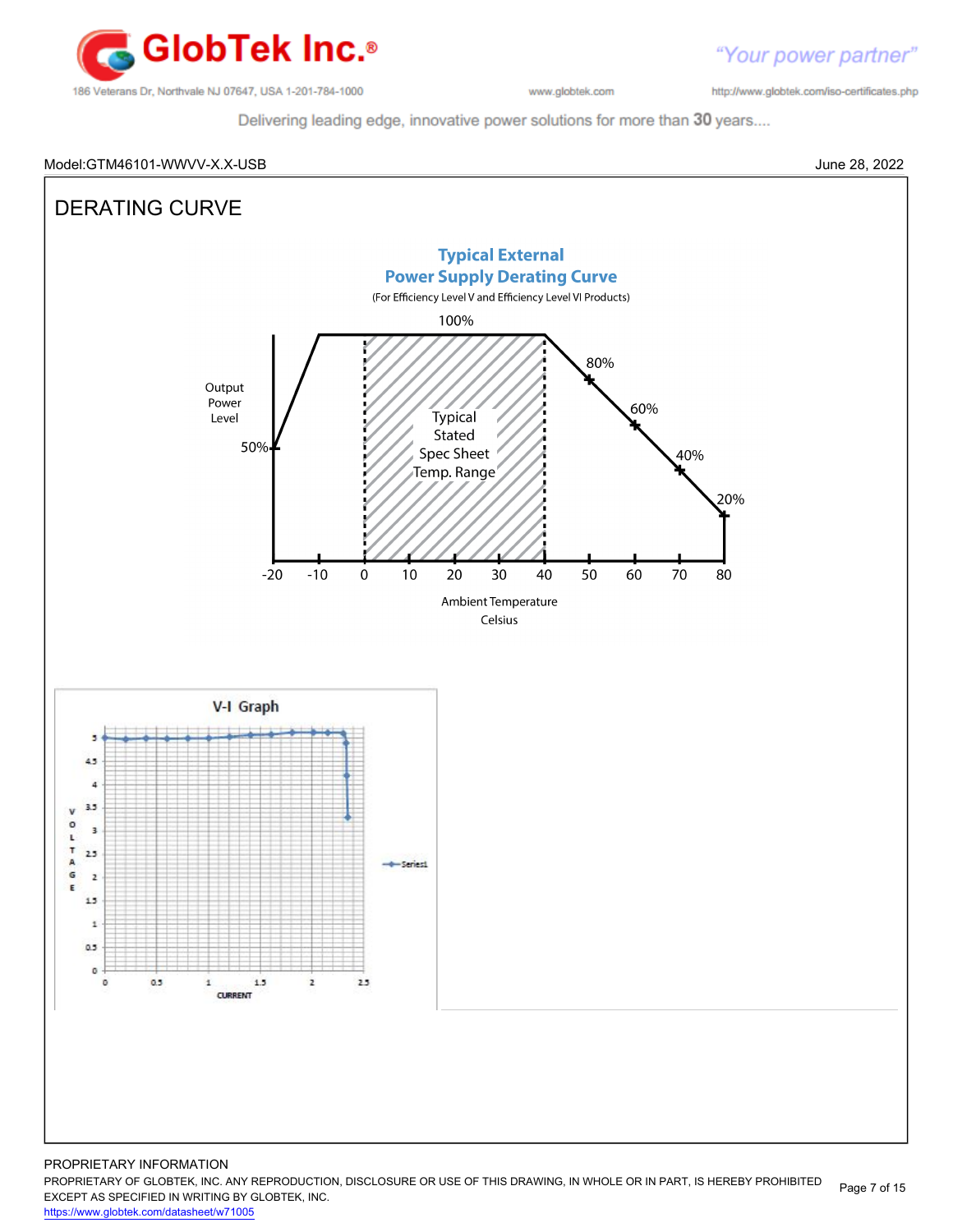

http://www.globtek.com/iso-certificates.php

Delivering leading edge, innovative power solutions for more than 30 years....

#### Model:GTM46101-WWVV-X.X-USB June 28, 2022

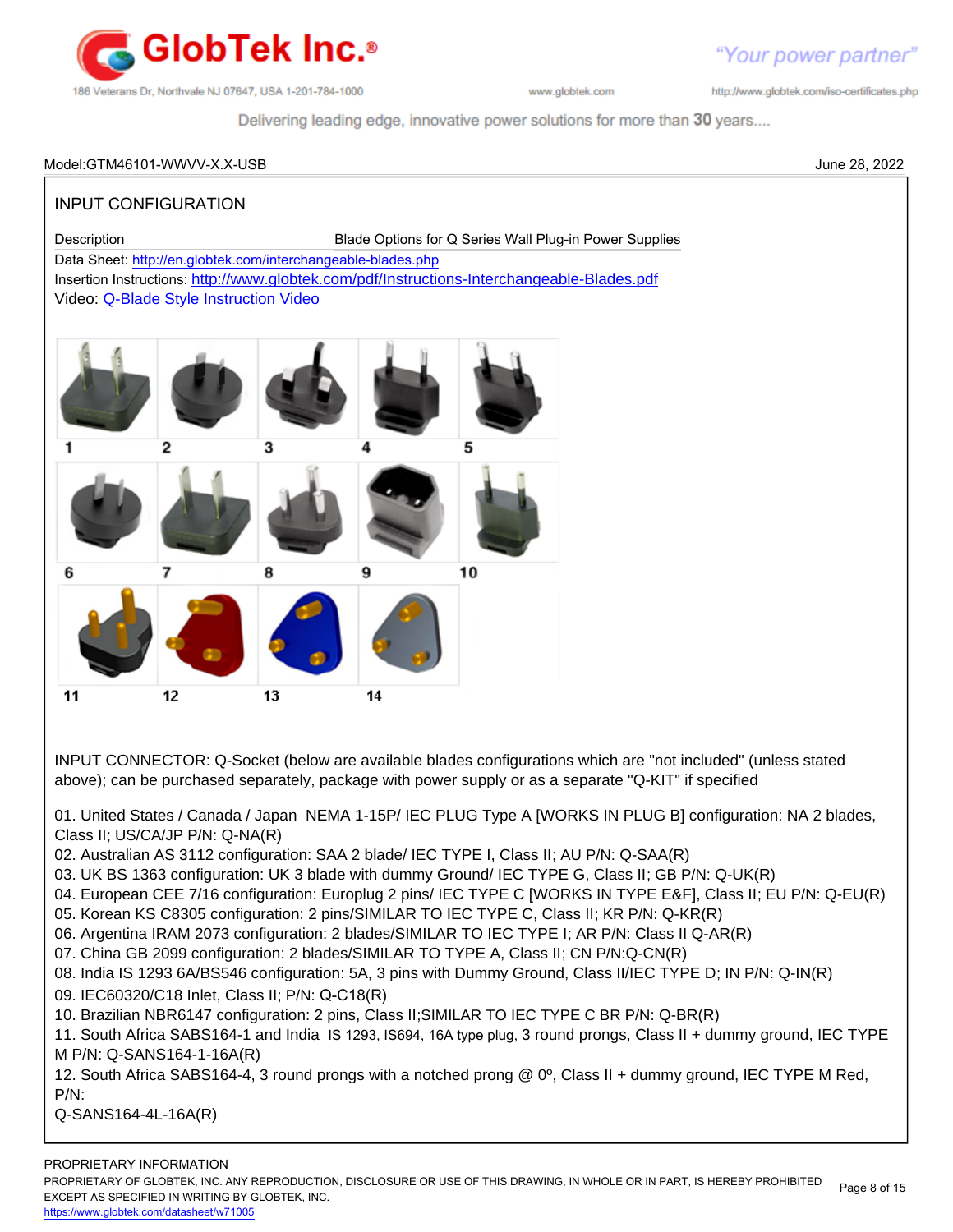

http://www.globtek.com/iso-certificates.php

Delivering leading edge, innovative power solutions for more than 30 years....

#### Model:GTM46101-WWVV-X.X-USB June 28, 2022

### INPUT CONFIGURATION

Description Blade Options for Q Series Wall Plug-in Power Supplies

Data Sheet:<http://en.globtek.com/interchangeable-blades.php>

Insertion Instructions: <http://www.globtek.com/pdf/Instructions-Interchangeable-Blades.pdf> Video: [Q-Blade Style Instruction Video](https://www.youtube.com/watch?v=t8KfppaP5_s&feature=youtu.be)



INPUT CONNECTOR: Q-Socket (below are available blades configurations which are "not included" (unless stated above); can be purchased separately, package with power supply or as a separate "Q-KIT" if specified

01. United States / Canada / Japan NEMA 1-15P/ IEC PLUG Type A [WORKS IN PLUG B] configuration: NA 2 blades, Class II; US/CA/JP P/N: Q-NA(R)

02. Australian AS 3112 configuration: SAA 2 blade/ IEC TYPE I, Class II; AU P/N: Q-SAA(R)

- 03. UK BS 1363 configuration: UK 3 blade with dummy Ground/ IEC TYPE G, Class II; GB P/N: Q-UK(R)
- 04. European CEE 7/16 configuration: Europlug 2 pins/ IEC TYPE C [WORKS IN TYPE E&F], Class II; EU P/N: Q-EU(R)
- 05. Korean KS C8305 configuration: 2 pins/SIMILAR TO IEC TYPE C, Class II; KR P/N: Q-KR(R)
- 06. Argentina IRAM 2073 configuration: 2 blades/SIMILAR TO IEC TYPE I; AR P/N: Class II Q-AR(R)
- 07. China GB 2099 configuration: 2 blades/SIMILAR TO TYPE A, Class II; CN P/N:Q-CN(R)
- 08. India IS 1293 6A/BS546 configuration: 5A, 3 pins with Dummy Ground, Class II/IEC TYPE D; IN P/N: Q-IN(R)
- 09. IEC60320/C18 Inlet, Class II; P/N: Q-C18(R)
- 10. Brazilian NBR6147 configuration: 2 pins, Class II;SIMILAR TO IEC TYPE C BR P/N: Q-BR(R)

11. South Africa SABS164-1 and India IS 1293, IS694, 16A type plug, 3 round prongs, Class II + dummy ground, IEC TYPE M P/N: Q-SANS164-1-16A(R)

12. South Africa SABS164-4, 3 round prongs with a notched prong @ 0º, Class II + dummy ground, IEC TYPE M Red, P/N:

Q-SANS164-4L-16A(R)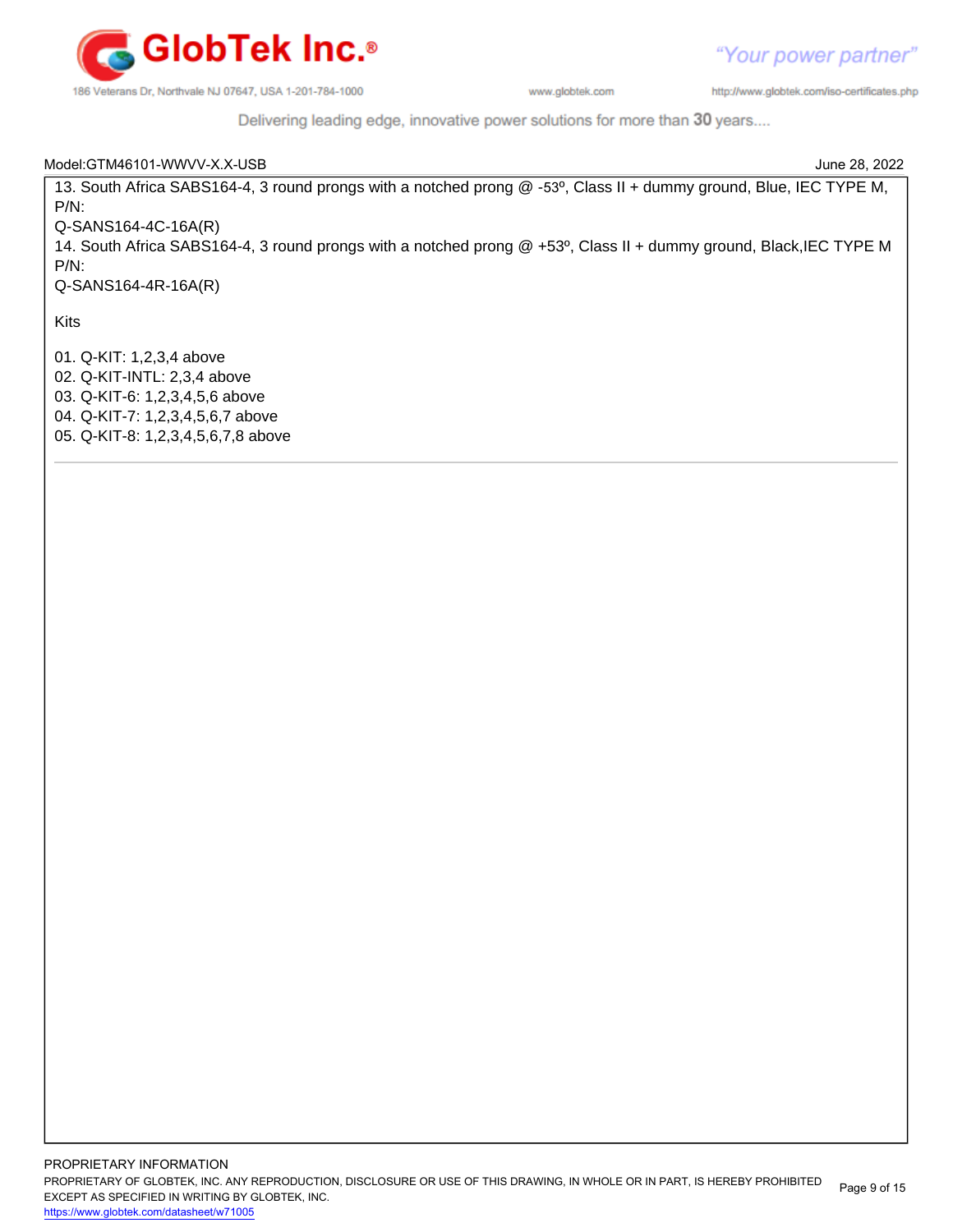

"Your power partner"

186 Veterans Dr, Northvale NJ 07647, USA 1-201-784-1000

www.globtek.com

http://www.globtek.com/iso-certificates.php

Delivering leading edge, innovative power solutions for more than 30 years....

| Model:GTM46101-WWVV-X.X-USB                                                                                        | June 28, 2022 |
|--------------------------------------------------------------------------------------------------------------------|---------------|
| 13. South Africa SABS164-4, 3 round prongs with a notched prong @ -53°, Class II + dummy ground, Blue, IEC TYPE M, |               |
| $P/N$ :                                                                                                            |               |
| $Q-SANS164-4C-16A(R)$                                                                                              |               |
| 14. South Africa SABS164-4, 3 round prongs with a notched prong @ +53°, Class II + dummy ground, Black, IEC TYPE M |               |
| $P/N$ :                                                                                                            |               |
| $Q-SANS164-4R-16A(R)$                                                                                              |               |
| <b>Kits</b>                                                                                                        |               |
| 01. Q-KIT: 1,2,3,4 above                                                                                           |               |
| 02. Q-KIT-INTL: 2,3,4 above                                                                                        |               |
| 03. Q-KIT-6: 1,2,3,4,5,6 above                                                                                     |               |
| 04. Q-KIT-7: 1,2,3,4,5,6,7 above                                                                                   |               |
| 05. Q-KIT-8: 1,2,3,4,5,6,7,8 above                                                                                 |               |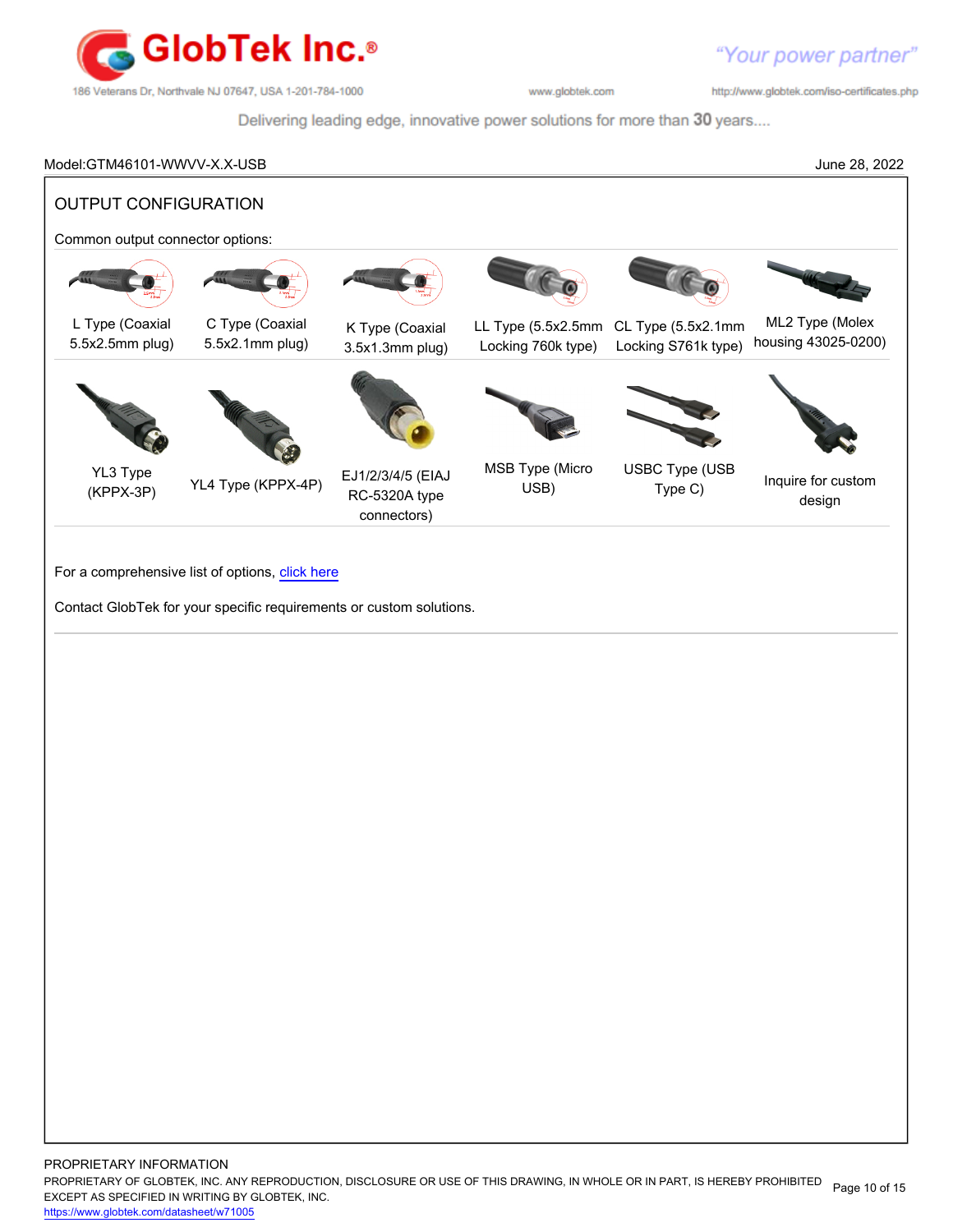

http://www.globtek.com/iso-certificates.php

Delivering leading edge, innovative power solutions for more than 30 years....

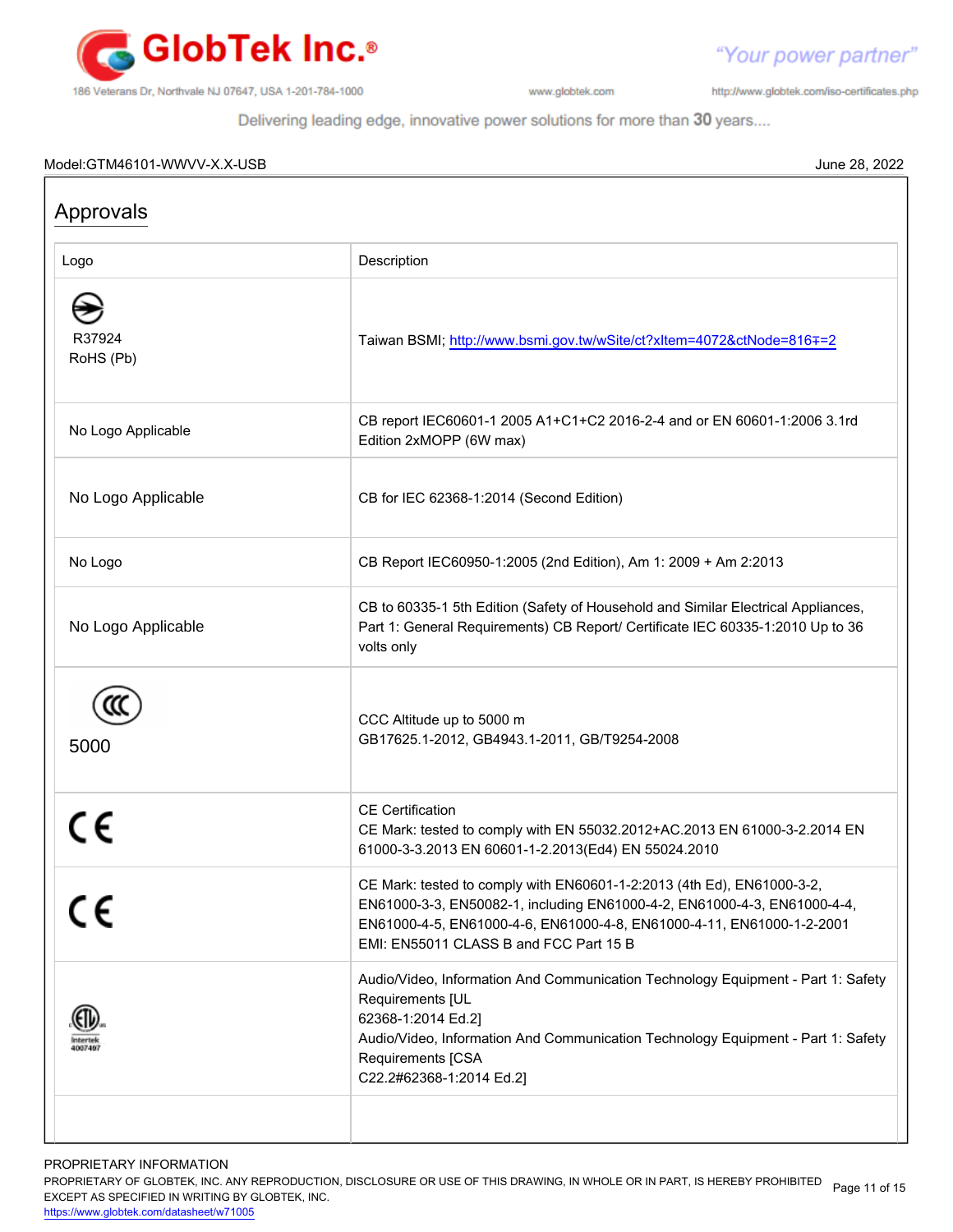

http://www.globtek.com/iso-certificates.php

"Your power partner"

Delivering leading edge, innovative power solutions for more than 30 years....

#### Model:GTM46101-WWVV-X.X-USB June 28, 2022

| Approvals           |                                                                                                                                                                                                                                                                      |
|---------------------|----------------------------------------------------------------------------------------------------------------------------------------------------------------------------------------------------------------------------------------------------------------------|
| Logo                | Description                                                                                                                                                                                                                                                          |
| R37924<br>RoHS (Pb) | Taiwan BSMI; http://www.bsmi.gov.tw/wSite/ct?xItem=4072&ctNode=816∓=2                                                                                                                                                                                                |
| No Logo Applicable  | CB report IEC60601-1 2005 A1+C1+C2 2016-2-4 and or EN 60601-1:2006 3.1rd<br>Edition 2xMOPP (6W max)                                                                                                                                                                  |
| No Logo Applicable  | CB for IEC 62368-1:2014 (Second Edition)                                                                                                                                                                                                                             |
| No Logo             | CB Report IEC60950-1:2005 (2nd Edition), Am 1: 2009 + Am 2:2013                                                                                                                                                                                                      |
| No Logo Applicable  | CB to 60335-1 5th Edition (Safety of Household and Similar Electrical Appliances,<br>Part 1: General Requirements) CB Report/ Certificate IEC 60335-1:2010 Up to 36<br>volts only                                                                                    |
| 5000                | CCC Altitude up to 5000 m<br>GB17625.1-2012, GB4943.1-2011, GB/T9254-2008                                                                                                                                                                                            |
| CE                  | <b>CE</b> Certification<br>CE Mark: tested to comply with EN 55032.2012+AC.2013 EN 61000-3-2.2014 EN<br>61000-3-3.2013 EN 60601-1-2.2013(Ed4) EN 55024.2010                                                                                                          |
|                     | CE Mark: tested to comply with EN60601-1-2:2013 (4th Ed), EN61000-3-2<br>EN61000-3-3, EN50082-1, including EN61000-4-2, EN61000-4-3, EN61000-4-4,<br>EN61000-4-5, EN61000-4-6, EN61000-4-8, EN61000-4-11, EN61000-1-2-2001<br>EMI: EN55011 CLASS B and FCC Part 15 B |
| 1007497             | Audio/Video, Information And Communication Technology Equipment - Part 1: Safety<br>Requirements [UL<br>62368-1:2014 Ed.2]<br>Audio/Video, Information And Communication Technology Equipment - Part 1: Safety<br>Requirements [CSA<br>C22.2#62368-1:2014 Ed.2]      |
|                     |                                                                                                                                                                                                                                                                      |

PROPRIETARY INFORMATION

PROPRIETARY OF GLOBTEK, INC. ANY REPRODUCTION, DISCLOSURE OR USE OF THIS DRAWING, IN WHOLE OR IN PART, IS HEREBY PROHIBITED Page 11 of 15<br>EXALER 10 OREGIEIER WILKENIG BY OLOREEK WO EXCEPT AS SPECIFIED IN WRITING BY GLOBTEK, INC.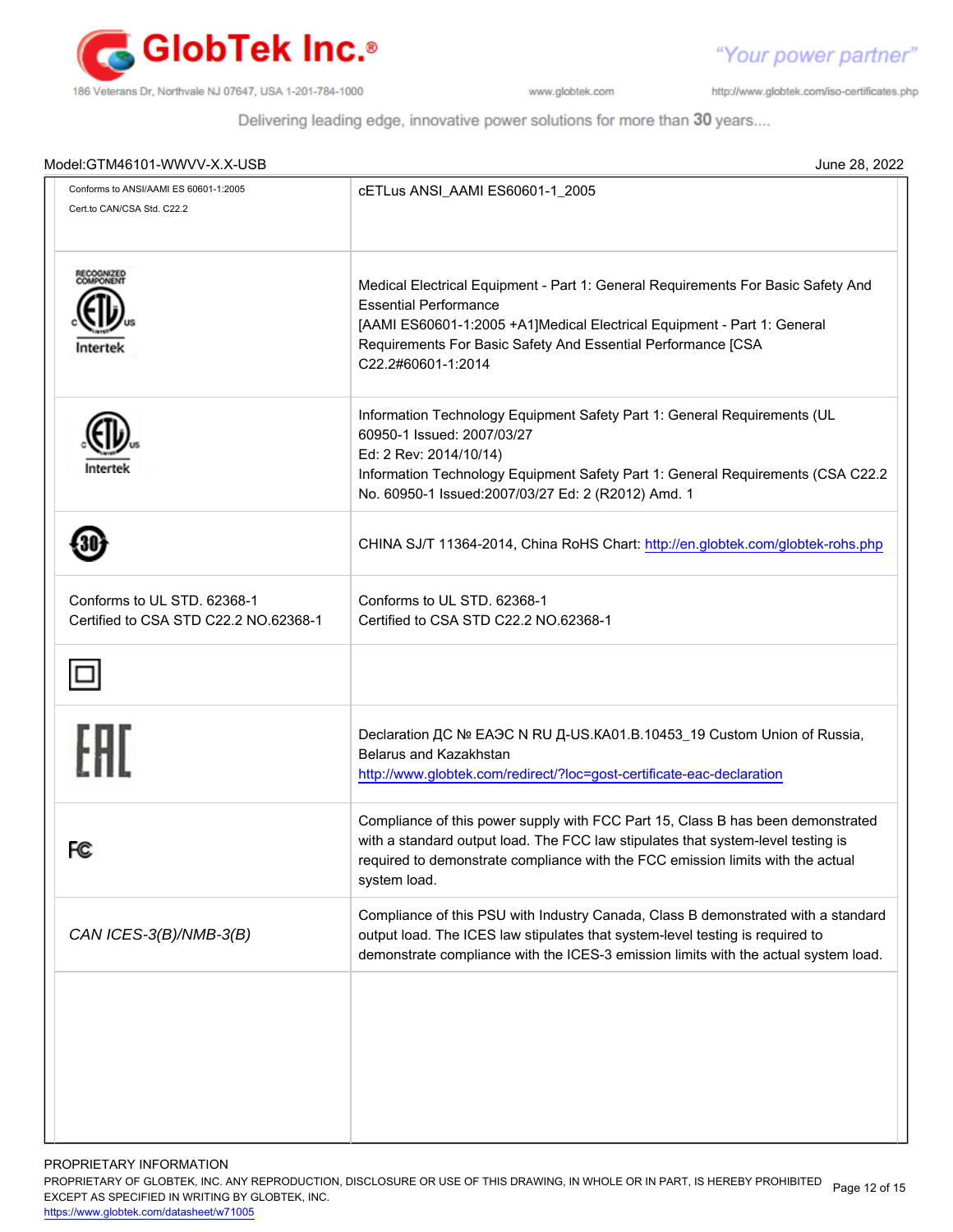

http://www.globtek.com/iso-certificates.php

"Your power partner"

Delivering leading edge, innovative power solutions for more than 30 years....

| Model:GTM46101-WWVV-X.X-USB                                          |                                                                                                                                                                                                                                                                                   |
|----------------------------------------------------------------------|-----------------------------------------------------------------------------------------------------------------------------------------------------------------------------------------------------------------------------------------------------------------------------------|
| Conforms to ANSI/AAMI ES 60601-1:2005<br>Cert.to CAN/CSA Std. C22.2  | cETLus ANSI_AAMI ES60601-1_2005                                                                                                                                                                                                                                                   |
| RECOGNIZED<br>COMPONENT<br>Intertek                                  | Medical Electrical Equipment - Part 1: General Requirements For Basic Safety And<br><b>Essential Performance</b><br>[AAMI ES60601-1:2005 +A1]Medical Electrical Equipment - Part 1: General<br>Requirements For Basic Safety And Essential Performance [CSA<br>C22.2#60601-1:2014 |
|                                                                      | Information Technology Equipment Safety Part 1: General Requirements (UL<br>60950-1 Issued: 2007/03/27<br>Ed: 2 Rev: 2014/10/14)<br>Information Technology Equipment Safety Part 1: General Requirements (CSA C22.2<br>No. 60950-1 Issued:2007/03/27 Ed: 2 (R2012) Amd. 1         |
|                                                                      | CHINA SJ/T 11364-2014, China RoHS Chart: http://en.globtek.com/globtek-rohs.php                                                                                                                                                                                                   |
| Conforms to UL STD. 62368-1<br>Certified to CSA STD C22.2 NO.62368-1 | Conforms to UL STD, 62368-1<br>Certified to CSA STD C22.2 NO.62368-1                                                                                                                                                                                                              |
|                                                                      |                                                                                                                                                                                                                                                                                   |
| FHI                                                                  | Declaration ДС № ЕАЭС N RU Д-US.KA01.B.10453_19 Custom Union of Russia,<br>Belarus and Kazakhstan<br>http://www.globtek.com/redirect/?loc=gost-certificate-eac-declaration                                                                                                        |
| FC                                                                   | Compliance of this power supply with FCC Part 15, Class B has been demonstrated<br>with a standard output load. The FCC law stipulates that system-level testing is<br>required to demonstrate compliance with the FCC emission limits with the actual<br>system load.            |
| CAN ICES-3(B)/NMB-3(B)                                               | Compliance of this PSU with Industry Canada, Class B demonstrated with a standard<br>output load. The ICES law stipulates that system-level testing is required to<br>demonstrate compliance with the ICES-3 emission limits with the actual system load.                         |
|                                                                      |                                                                                                                                                                                                                                                                                   |
|                                                                      |                                                                                                                                                                                                                                                                                   |
|                                                                      |                                                                                                                                                                                                                                                                                   |

PROPRIETARY INFORMATION

PROPRIETARY OF GLOBTEK, INC. ANY REPRODUCTION, DISCLOSURE OR USE OF THIS DRAWING, IN WHOLE OR IN PART, IS HEREBY PROHIBITED Page 12 of 15<br>EXALER 10 OREGIEIER WILKENIG BY OLOREEK WO EXCEPT AS SPECIFIED IN WRITING BY GLOBTEK, INC.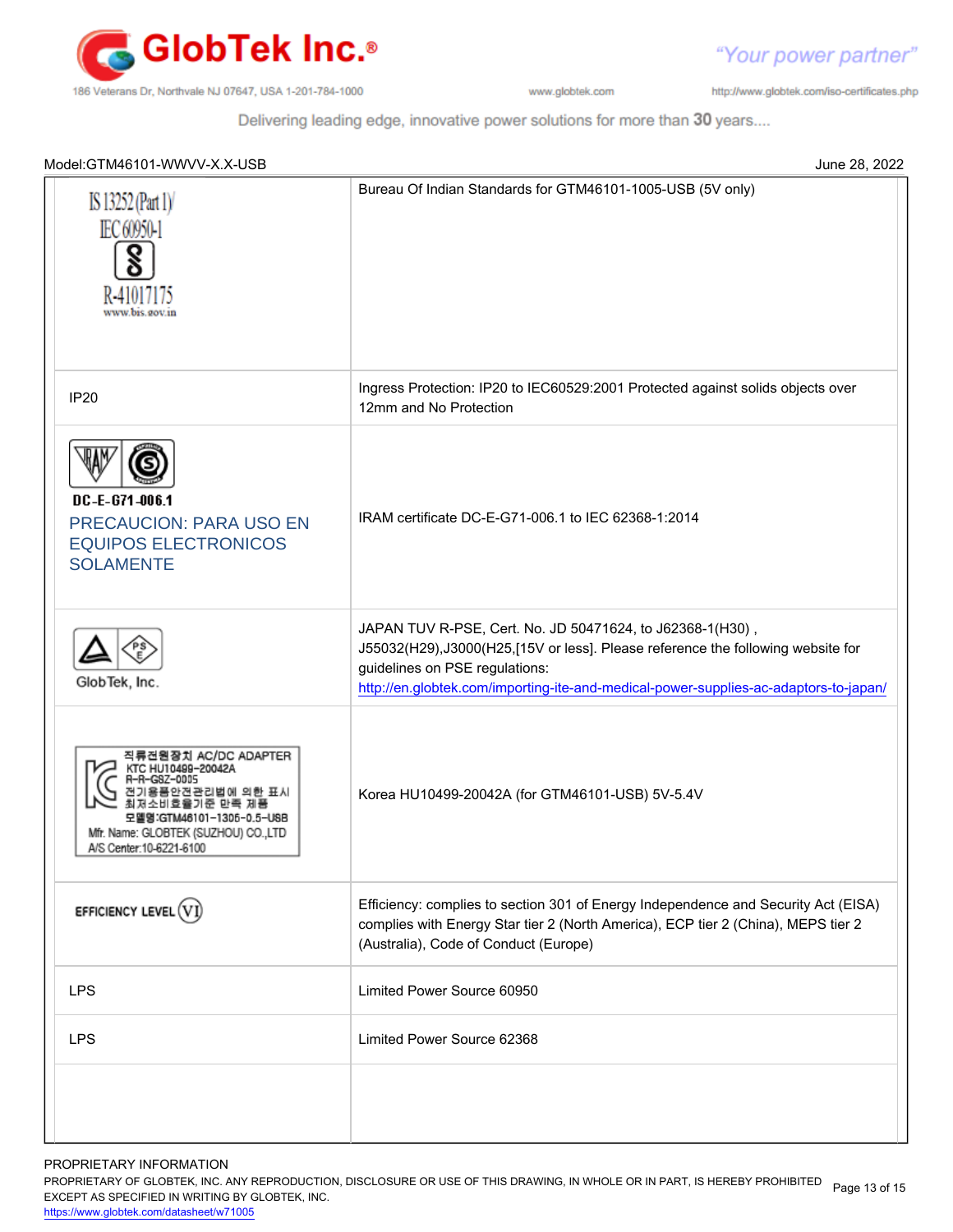

http://www.globtek.com/iso-certificates.php

"Your power partner"

Delivering leading edge, innovative power solutions for more than 30 years....

| Model:GTM46101-WWVV-X.X-USB<br>June 28, 2022                                                                                                                   |                                                                                                                                                                                                                                                                        |
|----------------------------------------------------------------------------------------------------------------------------------------------------------------|------------------------------------------------------------------------------------------------------------------------------------------------------------------------------------------------------------------------------------------------------------------------|
| IS 13252 (Part 1)<br><b>EC 60950-1</b><br>R-41017175<br>www.bis.gov.in                                                                                         | Bureau Of Indian Standards for GTM46101-1005-USB (5V only)                                                                                                                                                                                                             |
| <b>IP20</b>                                                                                                                                                    | Ingress Protection: IP20 to IEC60529:2001 Protected against solids objects over<br>12mm and No Protection                                                                                                                                                              |
| DC-E-671-006.1<br><b>PRECAUCION: PARA USO EN</b><br><b>EQUIPOS ELECTRONICOS</b><br><b>SOLAMENTE</b>                                                            | IRAM certificate DC-E-G71-006.1 to IEC 62368-1:2014                                                                                                                                                                                                                    |
| GlobTek, Inc.                                                                                                                                                  | JAPAN TUV R-PSE, Cert. No. JD 50471624, to J62368-1(H30),<br>J55032(H29),J3000(H25,[15V or less]. Please reference the following website for<br>guidelines on PSE regulations:<br>http://en.globtek.com/importing-ite-and-medical-power-supplies-ac-adaptors-to-japan/ |
| 직류전원장치 AC/DC ADAPTER<br>KTC HU10499-20042A<br>한 표시<br>기준 만족 제품<br>모델명:GTM46101-1306-0.5-USB<br>Mfr. Name: GLOBTEK (SUZHOU) CO.,LTD<br>A/S Center: 10-6221-6100 | Korea HU10499-20042A (for GTM46101-USB) 5V-5.4V                                                                                                                                                                                                                        |
| EFFICIENCY LEVEL $(\widehat{\text{V}})$                                                                                                                        | Efficiency: complies to section 301 of Energy Independence and Security Act (EISA)<br>complies with Energy Star tier 2 (North America), ECP tier 2 (China), MEPS tier 2<br>(Australia), Code of Conduct (Europe)                                                       |
| <b>LPS</b>                                                                                                                                                     | Limited Power Source 60950                                                                                                                                                                                                                                             |
| <b>LPS</b>                                                                                                                                                     | Limited Power Source 62368                                                                                                                                                                                                                                             |
|                                                                                                                                                                |                                                                                                                                                                                                                                                                        |

PROPRIETARY INFORMATION

PROPRIETARY OF GLOBTEK, INC. ANY REPRODUCTION, DISCLOSURE OR USE OF THIS DRAWING, IN WHOLE OR IN PART, IS HEREBY PROHIBITED Page 13 of 15<br>EXALER 10 OREGIEIER WILKENIG BY OLOREEK WO EXCEPT AS SPECIFIED IN WRITING BY GLOBTEK, INC.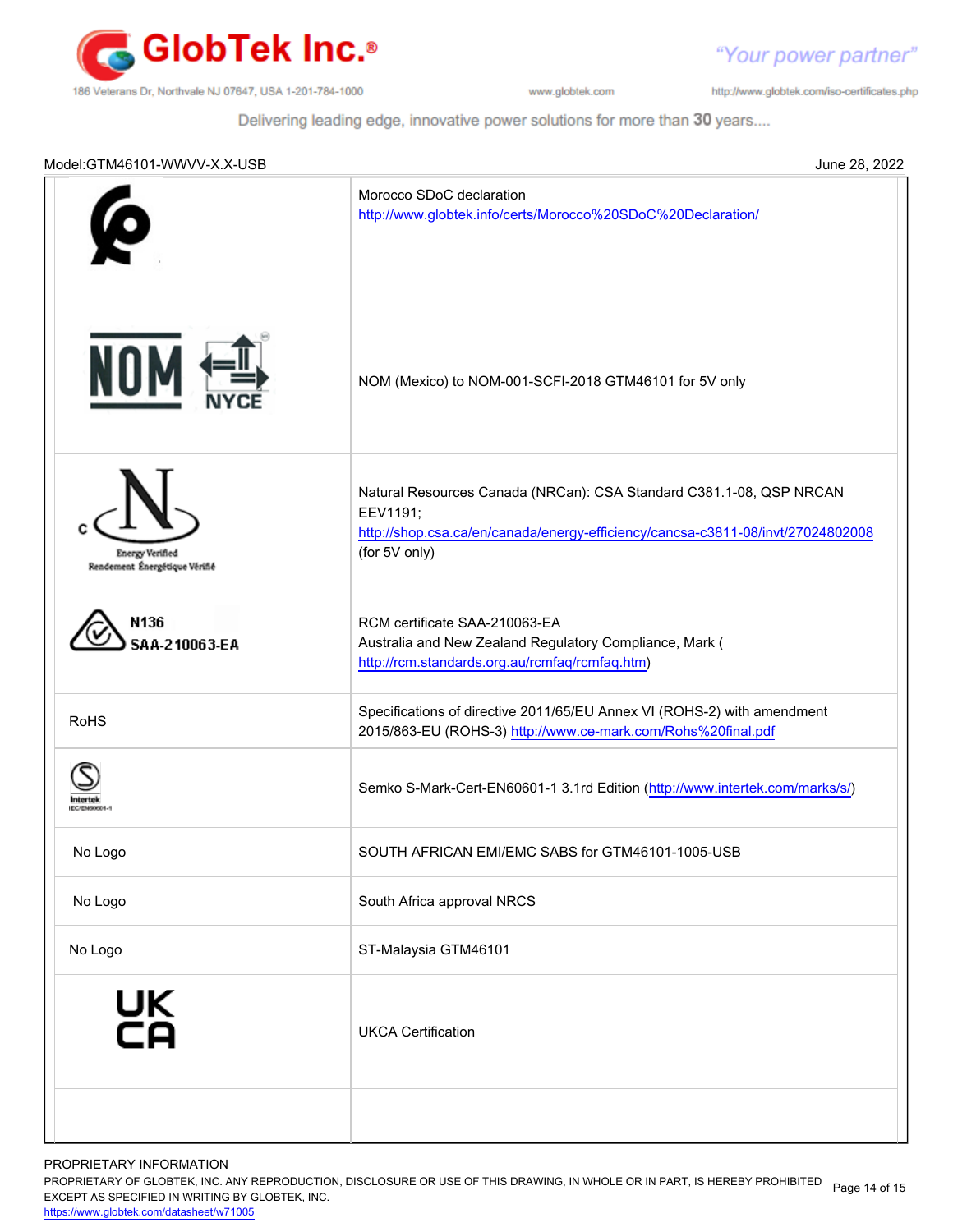

"Your power partner" http://www.globtek.com/iso-certificates.php

Delivering leading edge, innovative power solutions for more than 30 years....

| Model:GTM46101-WWVV-X.X-USB                             | June 28, 2022                                                                                                                                                                       |
|---------------------------------------------------------|-------------------------------------------------------------------------------------------------------------------------------------------------------------------------------------|
|                                                         | Morocco SDoC declaration<br>http://www.globtek.info/certs/Morocco%20SDoC%20Declaration/                                                                                             |
| NOI                                                     | NOM (Mexico) to NOM-001-SCFI-2018 GTM46101 for 5V only                                                                                                                              |
| <b>Energy Verified</b><br>Rendement Énergétique Vérifié | Natural Resources Canada (NRCan): CSA Standard C381.1-08, QSP NRCAN<br>EEV1191;<br>http://shop.csa.ca/en/canada/energy-efficiency/cancsa-c3811-08/invt/27024802008<br>(for 5V only) |
| N136<br>SAA-210063-EA                                   | RCM certificate SAA-210063-EA<br>Australia and New Zealand Regulatory Compliance, Mark (<br>http://rcm.standards.org.au/rcmfaq/rcmfaq.htm)                                          |
| <b>RoHS</b>                                             | Specifications of directive 2011/65/EU Annex VI (ROHS-2) with amendment<br>2015/863-EU (ROHS-3) http://www.ce-mark.com/Rohs%20final.pdf                                             |
|                                                         | Semko S-Mark-Cert-EN60601-1 3.1rd Edition (http://www.intertek.com/marks/s/)                                                                                                        |
| No Logo                                                 | SOUTH AFRICAN EMI/EMC SABS for GTM46101-1005-USB                                                                                                                                    |
| No Logo                                                 | South Africa approval NRCS                                                                                                                                                          |
| No Logo                                                 | ST-Malaysia GTM46101                                                                                                                                                                |
| UK<br>CA                                                | <b>UKCA Certification</b>                                                                                                                                                           |
|                                                         |                                                                                                                                                                                     |

PROPRIETARY INFORMATION

PROPRIETARY OF GLOBTEK, INC. ANY REPRODUCTION, DISCLOSURE OR USE OF THIS DRAWING, IN WHOLE OR IN PART, IS HEREBY PROHIBITED Page 14 of 15<br>EXALER 10 RESISTED WINDITING BY OLGETTY WO EXCEPT AS SPECIFIED IN WRITING BY GLOBTEK, INC.